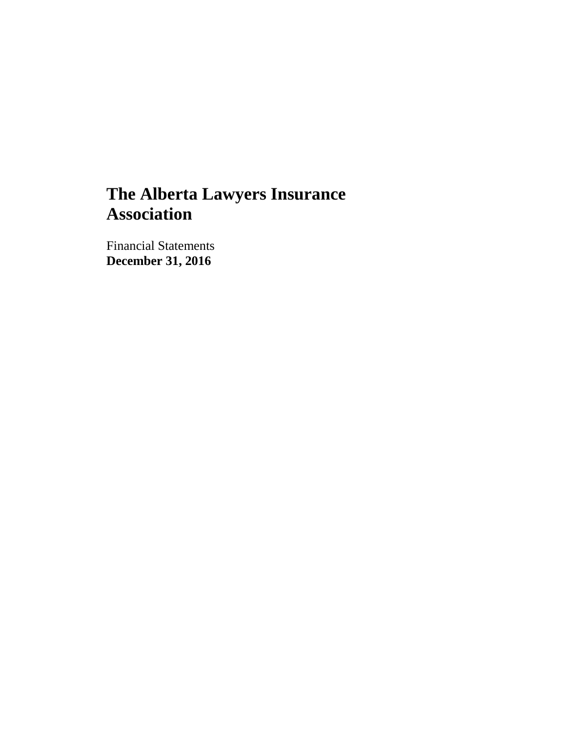Financial Statements **December 31, 2016**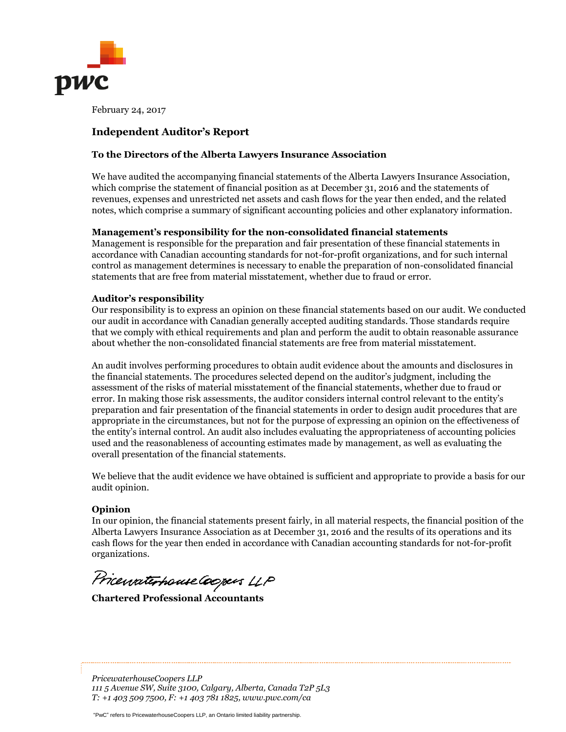

February 24, 2017

## **Independent Auditor's Report**

#### **To the Directors of the Alberta Lawyers Insurance Association**

We have audited the accompanying financial statements of the Alberta Lawyers Insurance Association, which comprise the statement of financial position as at December 31, 2016 and the statements of revenues, expenses and unrestricted net assets and cash flows for the year then ended, and the related notes, which comprise a summary of significant accounting policies and other explanatory information.

#### **Management's responsibility for the non-consolidated financial statements**

Management is responsible for the preparation and fair presentation of these financial statements in accordance with Canadian accounting standards for not-for-profit organizations, and for such internal control as management determines is necessary to enable the preparation of non-consolidated financial statements that are free from material misstatement, whether due to fraud or error.

#### **Auditor's responsibility**

Our responsibility is to express an opinion on these financial statements based on our audit. We conducted our audit in accordance with Canadian generally accepted auditing standards. Those standards require that we comply with ethical requirements and plan and perform the audit to obtain reasonable assurance about whether the non-consolidated financial statements are free from material misstatement.

An audit involves performing procedures to obtain audit evidence about the amounts and disclosures in the financial statements. The procedures selected depend on the auditor's judgment, including the assessment of the risks of material misstatement of the financial statements, whether due to fraud or error. In making those risk assessments, the auditor considers internal control relevant to the entity's preparation and fair presentation of the financial statements in order to design audit procedures that are appropriate in the circumstances, but not for the purpose of expressing an opinion on the effectiveness of the entity's internal control. An audit also includes evaluating the appropriateness of accounting policies used and the reasonableness of accounting estimates made by management, as well as evaluating the overall presentation of the financial statements.

We believe that the audit evidence we have obtained is sufficient and appropriate to provide a basis for our audit opinion.

#### **Opinion**

In our opinion, the financial statements present fairly, in all material respects, the financial position of the Alberta Lawyers Insurance Association as at December 31, 2016 and the results of its operations and its cash flows for the year then ended in accordance with Canadian accounting standards for not-for-profit organizations.

Pricewaterhouse Coopers LLP

**Chartered Professional Accountants**

*PricewaterhouseCoopers LLP 111 5 Avenue SW, Suite 3100, Calgary, Alberta, Canada T2P 5L3 T: +1 403 509 7500, F: +1 403 781 1825, www.pwc.com/ca*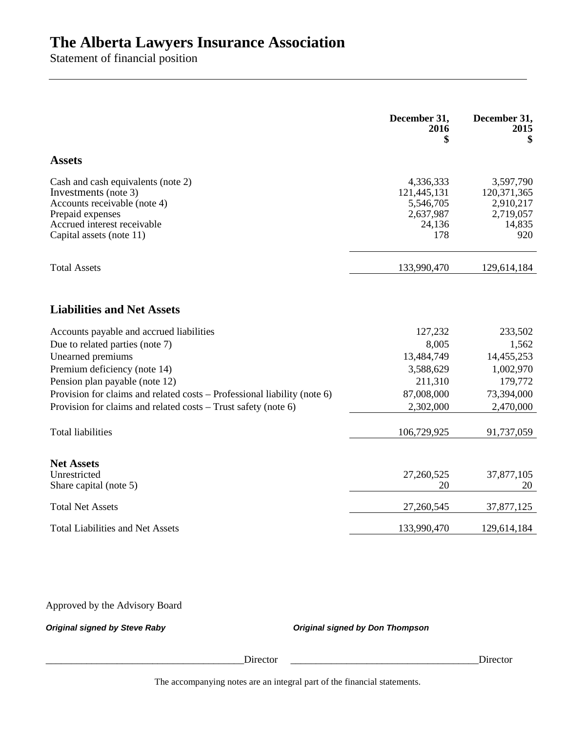Statement of financial position

|                                                                                                                                                                                                                                                                                                                  | December 31,<br>2016<br>\$                                                        | December 31,<br>2015                                                              |
|------------------------------------------------------------------------------------------------------------------------------------------------------------------------------------------------------------------------------------------------------------------------------------------------------------------|-----------------------------------------------------------------------------------|-----------------------------------------------------------------------------------|
| <b>Assets</b>                                                                                                                                                                                                                                                                                                    |                                                                                   |                                                                                   |
| Cash and cash equivalents (note 2)<br>Investments (note 3)<br>Accounts receivable (note 4)<br>Prepaid expenses<br>Accrued interest receivable<br>Capital assets (note 11)                                                                                                                                        | 4,336,333<br>121,445,131<br>5,546,705<br>2,637,987<br>24,136<br>178               | 3,597,790<br>120, 371, 365<br>2,910,217<br>2,719,057<br>14,835<br>920             |
| <b>Total Assets</b>                                                                                                                                                                                                                                                                                              | 133,990,470                                                                       | 129,614,184                                                                       |
| <b>Liabilities and Net Assets</b>                                                                                                                                                                                                                                                                                |                                                                                   |                                                                                   |
| Accounts payable and accrued liabilities<br>Due to related parties (note 7)<br>Unearned premiums<br>Premium deficiency (note 14)<br>Pension plan payable (note 12)<br>Provision for claims and related costs – Professional liability (note 6)<br>Provision for claims and related costs - Trust safety (note 6) | 127,232<br>8,005<br>13,484,749<br>3,588,629<br>211,310<br>87,008,000<br>2,302,000 | 233,502<br>1,562<br>14,455,253<br>1,002,970<br>179,772<br>73,394,000<br>2,470,000 |
| <b>Total liabilities</b>                                                                                                                                                                                                                                                                                         | 106,729,925                                                                       | 91,737,059                                                                        |
| <b>Net Assets</b><br>Unrestricted<br>Share capital (note 5)                                                                                                                                                                                                                                                      | 27,260,525<br>20                                                                  | 37,877,105<br>20                                                                  |
| <b>Total Net Assets</b>                                                                                                                                                                                                                                                                                          | 27,260,545                                                                        | 37,877,125                                                                        |
| <b>Total Liabilities and Net Assets</b>                                                                                                                                                                                                                                                                          | 133,990,470                                                                       | 129,614,184                                                                       |

Approved by the Advisory Board

*Original signed by Steve Raby Original signed by Don Thompson*

\_\_\_\_\_\_\_\_\_\_\_\_\_\_\_\_\_\_\_\_\_\_\_\_\_\_\_\_\_\_\_\_\_\_\_\_\_\_\_Director \_\_\_\_\_\_\_\_\_\_\_\_\_\_\_\_\_\_\_\_\_\_\_\_\_\_\_\_\_\_\_\_\_\_\_\_\_Director

The accompanying notes are an integral part of the financial statements.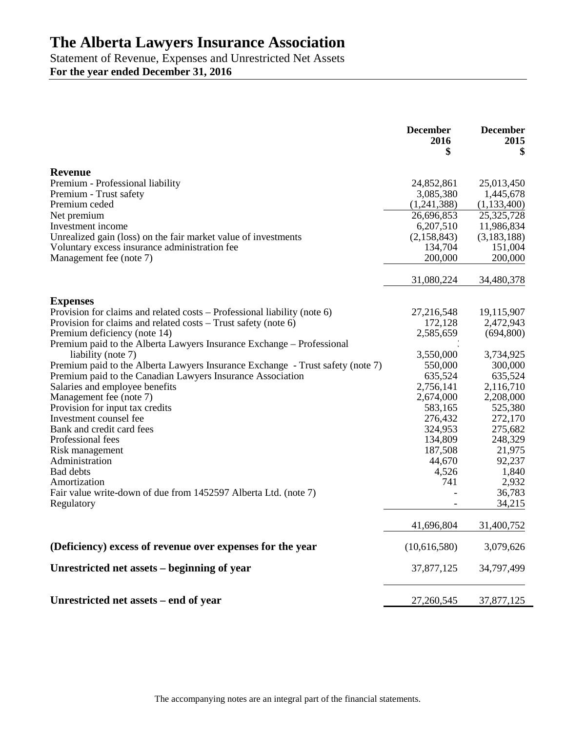Statement of Revenue, Expenses and Unrestricted Net Assets **For the year ended December 31, 2016**

|                                                                                | <b>December</b><br>2016<br>\$ | <b>December</b><br>2015<br>\$ |
|--------------------------------------------------------------------------------|-------------------------------|-------------------------------|
| <b>Revenue</b>                                                                 |                               |                               |
| Premium - Professional liability                                               | 24,852,861                    | 25,013,450                    |
| Premium - Trust safety                                                         | 3,085,380                     | 1,445,678                     |
| Premium ceded                                                                  | (1,241,388)                   | (1,133,400)                   |
| Net premium                                                                    | 26,696,853                    | 25,325,728                    |
| Investment income                                                              | 6,207,510                     | 11,986,834                    |
| Unrealized gain (loss) on the fair market value of investments                 | (2,158,843)                   | (3,183,188)                   |
| Voluntary excess insurance administration fee                                  | 134,704                       | 151,004                       |
| Management fee (note 7)                                                        | 200,000                       | 200,000                       |
|                                                                                | 31,080,224                    | 34,480,378                    |
| <b>Expenses</b>                                                                |                               |                               |
| Provision for claims and related costs – Professional liability (note 6)       | 27,216,548                    | 19,115,907                    |
| Provision for claims and related $costs - Trust$ safety (note 6)               | 172,128                       | 2,472,943                     |
| Premium deficiency (note 14)                                                   | 2,585,659                     | (694,800)                     |
| Premium paid to the Alberta Lawyers Insurance Exchange - Professional          |                               |                               |
| liability (note 7)                                                             | 3,550,000                     | 3,734,925                     |
| Premium paid to the Alberta Lawyers Insurance Exchange - Trust safety (note 7) | 550,000                       | 300,000                       |
| Premium paid to the Canadian Lawyers Insurance Association                     | 635,524                       | 635,524                       |
| Salaries and employee benefits                                                 | 2,756,141                     | 2,116,710                     |
| Management fee (note 7)                                                        | 2,674,000                     | 2,208,000                     |
| Provision for input tax credits                                                | 583,165                       | 525,380                       |
| Investment counsel fee                                                         | 276,432                       | 272,170                       |
| Bank and credit card fees                                                      | 324,953                       | 275,682                       |
| Professional fees                                                              | 134,809                       | 248,329                       |
| Risk management                                                                | 187,508                       | 21,975                        |
| Administration                                                                 | 44,670                        | 92,237                        |
| <b>Bad debts</b>                                                               | 4,526                         | 1,840                         |
| Amortization                                                                   | 741                           | 2,932                         |
| Fair value write-down of due from 1452597 Alberta Ltd. (note 7)                |                               | 36,783                        |
| Regulatory                                                                     |                               | 34,215                        |
|                                                                                | 41,696,804                    | 31,400,752                    |
| (Deficiency) excess of revenue over expenses for the year                      | (10,616,580)                  | 3,079,626                     |
| Unrestricted net assets – beginning of year                                    | 37,877,125                    | 34,797,499                    |
| Unrestricted net assets – end of year                                          | 27,260,545                    | 37,877,125                    |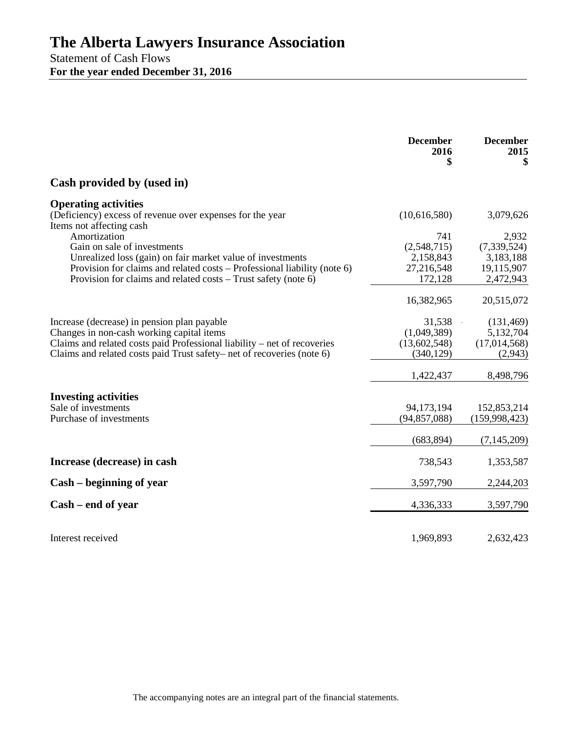Statement of Cash Flows **For the year ended December 31, 2016**

|                                                                                       | <b>December</b><br>2016<br>\$ | <b>December</b><br>2015<br>\$ |
|---------------------------------------------------------------------------------------|-------------------------------|-------------------------------|
| Cash provided by (used in)                                                            |                               |                               |
| <b>Operating activities</b>                                                           |                               |                               |
| (Deficiency) excess of revenue over expenses for the year<br>Items not affecting cash | (10,616,580)                  | 3,079,626                     |
| Amortization                                                                          | 741                           | 2,932                         |
| Gain on sale of investments                                                           | (2,548,715)                   | (7,339,524)                   |
| Unrealized loss (gain) on fair market value of investments                            | 2,158,843                     | 3,183,188                     |
| Provision for claims and related costs – Professional liability (note 6)              | 27,216,548                    | 19,115,907                    |
| Provision for claims and related costs – Trust safety (note 6)                        | 172,128                       | 2,472,943                     |
|                                                                                       | 16,382,965                    | 20,515,072                    |
| Increase (decrease) in pension plan payable                                           | 31,538                        | (131, 469)                    |
| Changes in non-cash working capital items                                             | (1,049,389)                   | 5,132,704                     |
| Claims and related costs paid Professional liability – net of recoveries              | (13,602,548)                  | (17,014,568)                  |
| Claims and related costs paid Trust safety– net of recoveries (note 6)                | (340, 129)                    | (2,943)                       |
|                                                                                       | 1,422,437                     | 8,498,796                     |
|                                                                                       |                               |                               |
| <b>Investing activities</b><br>Sale of investments                                    | 94,173,194                    |                               |
| Purchase of investments                                                               | (94, 857, 088)                | 152,853,214<br>(159,998,423)  |
|                                                                                       |                               |                               |
|                                                                                       | (683, 894)                    | (7, 145, 209)                 |
| Increase (decrease) in cash                                                           | 738,543                       | 1,353,587                     |
| Cash – beginning of year                                                              | 3,597,790                     | 2,244,203                     |
| Cash – end of year                                                                    | 4,336,333                     | 3,597,790                     |
|                                                                                       |                               |                               |
| Interest received                                                                     | 1,969,893                     | 2,632,423                     |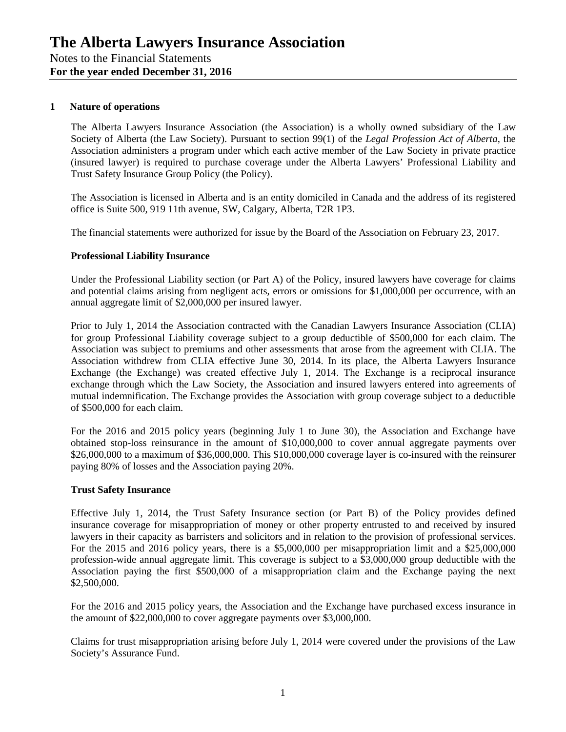## **1 Nature of operations**

The Alberta Lawyers Insurance Association (the Association) is a wholly owned subsidiary of the Law Society of Alberta (the Law Society). Pursuant to section 99(1) of the *Legal Profession Act of Alberta*, the Association administers a program under which each active member of the Law Society in private practice (insured lawyer) is required to purchase coverage under the Alberta Lawyers' Professional Liability and Trust Safety Insurance Group Policy (the Policy).

The Association is licensed in Alberta and is an entity domiciled in Canada and the address of its registered office is Suite 500, 919 11th avenue, SW, Calgary, Alberta, T2R 1P3.

The financial statements were authorized for issue by the Board of the Association on February 23, 2017.

#### **Professional Liability Insurance**

Under the Professional Liability section (or Part A) of the Policy, insured lawyers have coverage for claims and potential claims arising from negligent acts, errors or omissions for \$1,000,000 per occurrence, with an annual aggregate limit of \$2,000,000 per insured lawyer.

Prior to July 1, 2014 the Association contracted with the Canadian Lawyers Insurance Association (CLIA) for group Professional Liability coverage subject to a group deductible of \$500,000 for each claim. The Association was subject to premiums and other assessments that arose from the agreement with CLIA. The Association withdrew from CLIA effective June 30, 2014. In its place, the Alberta Lawyers Insurance Exchange (the Exchange) was created effective July 1, 2014. The Exchange is a reciprocal insurance exchange through which the Law Society, the Association and insured lawyers entered into agreements of mutual indemnification. The Exchange provides the Association with group coverage subject to a deductible of \$500,000 for each claim.

For the 2016 and 2015 policy years (beginning July 1 to June 30), the Association and Exchange have obtained stop-loss reinsurance in the amount of \$10,000,000 to cover annual aggregate payments over \$26,000,000 to a maximum of \$36,000,000. This \$10,000,000 coverage layer is co-insured with the reinsurer paying 80% of losses and the Association paying 20%.

#### **Trust Safety Insurance**

Effective July 1, 2014, the Trust Safety Insurance section (or Part B) of the Policy provides defined insurance coverage for misappropriation of money or other property entrusted to and received by insured lawyers in their capacity as barristers and solicitors and in relation to the provision of professional services. For the 2015 and 2016 policy years, there is a \$5,000,000 per misappropriation limit and a \$25,000,000 profession-wide annual aggregate limit. This coverage is subject to a \$3,000,000 group deductible with the Association paying the first \$500,000 of a misappropriation claim and the Exchange paying the next \$2,500,000.

For the 2016 and 2015 policy years, the Association and the Exchange have purchased excess insurance in the amount of \$22,000,000 to cover aggregate payments over \$3,000,000.

Claims for trust misappropriation arising before July 1, 2014 were covered under the provisions of the Law Society's Assurance Fund.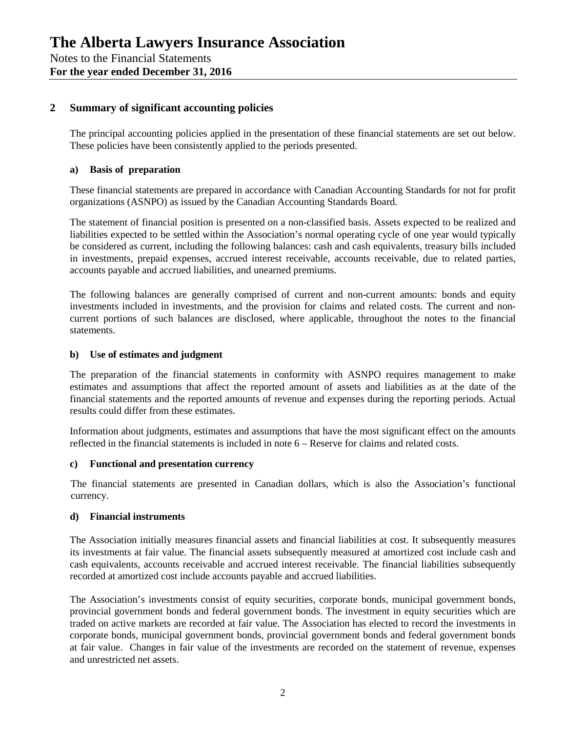## **2 Summary of significant accounting policies**

The principal accounting policies applied in the presentation of these financial statements are set out below. These policies have been consistently applied to the periods presented.

## **a) Basis of preparation**

These financial statements are prepared in accordance with Canadian Accounting Standards for not for profit organizations (ASNPO) as issued by the Canadian Accounting Standards Board.

The statement of financial position is presented on a non-classified basis. Assets expected to be realized and liabilities expected to be settled within the Association's normal operating cycle of one year would typically be considered as current, including the following balances: cash and cash equivalents, treasury bills included in investments, prepaid expenses, accrued interest receivable, accounts receivable, due to related parties, accounts payable and accrued liabilities, and unearned premiums.

The following balances are generally comprised of current and non-current amounts: bonds and equity investments included in investments, and the provision for claims and related costs. The current and noncurrent portions of such balances are disclosed, where applicable, throughout the notes to the financial statements.

## **b) Use of estimates and judgment**

The preparation of the financial statements in conformity with ASNPO requires management to make estimates and assumptions that affect the reported amount of assets and liabilities as at the date of the financial statements and the reported amounts of revenue and expenses during the reporting periods. Actual results could differ from these estimates.

Information about judgments, estimates and assumptions that have the most significant effect on the amounts reflected in the financial statements is included in note 6 – Reserve for claims and related costs.

#### **c) Functional and presentation currency**

The financial statements are presented in Canadian dollars, which is also the Association's functional currency.

#### **d) Financial instruments**

The Association initially measures financial assets and financial liabilities at cost. It subsequently measures its investments at fair value. The financial assets subsequently measured at amortized cost include cash and cash equivalents, accounts receivable and accrued interest receivable. The financial liabilities subsequently recorded at amortized cost include accounts payable and accrued liabilities.

The Association's investments consist of equity securities, corporate bonds, municipal government bonds, provincial government bonds and federal government bonds. The investment in equity securities which are traded on active markets are recorded at fair value. The Association has elected to record the investments in corporate bonds, municipal government bonds, provincial government bonds and federal government bonds at fair value. Changes in fair value of the investments are recorded on the statement of revenue, expenses and unrestricted net assets.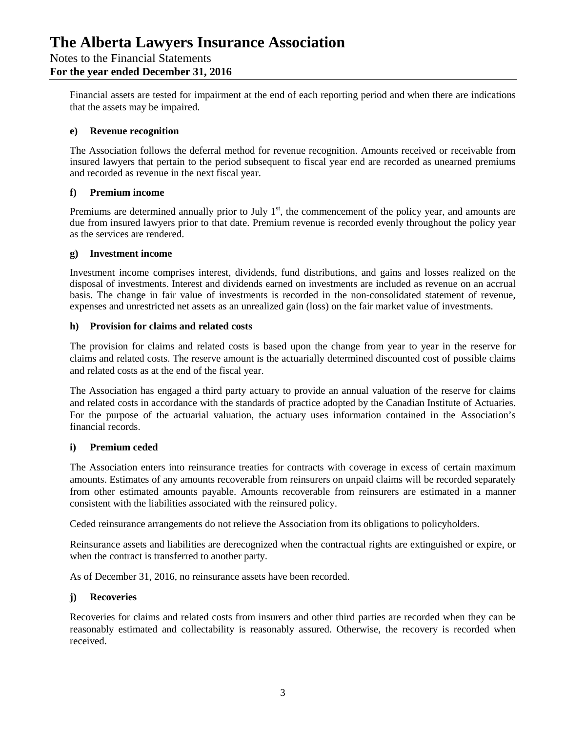## Notes to the Financial Statements

## **For the year ended December 31, 2016**

Financial assets are tested for impairment at the end of each reporting period and when there are indications that the assets may be impaired.

#### **e) Revenue recognition**

The Association follows the deferral method for revenue recognition. Amounts received or receivable from insured lawyers that pertain to the period subsequent to fiscal year end are recorded as unearned premiums and recorded as revenue in the next fiscal year.

#### **f) Premium income**

Premiums are determined annually prior to July  $1<sup>st</sup>$ , the commencement of the policy year, and amounts are due from insured lawyers prior to that date. Premium revenue is recorded evenly throughout the policy year as the services are rendered.

#### **g) Investment income**

Investment income comprises interest, dividends, fund distributions, and gains and losses realized on the disposal of investments. Interest and dividends earned on investments are included as revenue on an accrual basis. The change in fair value of investments is recorded in the non-consolidated statement of revenue, expenses and unrestricted net assets as an unrealized gain (loss) on the fair market value of investments.

#### **h) Provision for claims and related costs**

The provision for claims and related costs is based upon the change from year to year in the reserve for claims and related costs. The reserve amount is the actuarially determined discounted cost of possible claims and related costs as at the end of the fiscal year.

The Association has engaged a third party actuary to provide an annual valuation of the reserve for claims and related costs in accordance with the standards of practice adopted by the Canadian Institute of Actuaries. For the purpose of the actuarial valuation, the actuary uses information contained in the Association's financial records.

#### **i) Premium ceded**

The Association enters into reinsurance treaties for contracts with coverage in excess of certain maximum amounts. Estimates of any amounts recoverable from reinsurers on unpaid claims will be recorded separately from other estimated amounts payable. Amounts recoverable from reinsurers are estimated in a manner consistent with the liabilities associated with the reinsured policy.

Ceded reinsurance arrangements do not relieve the Association from its obligations to policyholders.

Reinsurance assets and liabilities are derecognized when the contractual rights are extinguished or expire, or when the contract is transferred to another party.

As of December 31, 2016, no reinsurance assets have been recorded.

#### **j) Recoveries**

Recoveries for claims and related costs from insurers and other third parties are recorded when they can be reasonably estimated and collectability is reasonably assured. Otherwise, the recovery is recorded when received.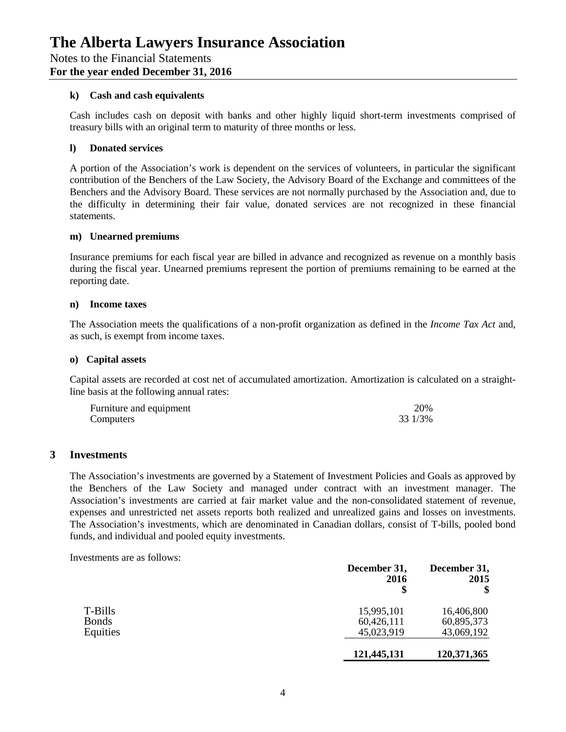**For the year ended December 31, 2016**

#### **k) Cash and cash equivalents**

Cash includes cash on deposit with banks and other highly liquid short-term investments comprised of treasury bills with an original term to maturity of three months or less.

#### **l) Donated services**

A portion of the Association's work is dependent on the services of volunteers, in particular the significant contribution of the Benchers of the Law Society, the Advisory Board of the Exchange and committees of the Benchers and the Advisory Board. These services are not normally purchased by the Association and, due to the difficulty in determining their fair value, donated services are not recognized in these financial statements.

#### **m) Unearned premiums**

Insurance premiums for each fiscal year are billed in advance and recognized as revenue on a monthly basis during the fiscal year. Unearned premiums represent the portion of premiums remaining to be earned at the reporting date.

#### **n) Income taxes**

The Association meets the qualifications of a non-profit organization as defined in the *Income Tax Act* and, as such, is exempt from income taxes.

#### **o) Capital assets**

Capital assets are recorded at cost net of accumulated amortization. Amortization is calculated on a straightline basis at the following annual rates:

| Furniture and equipment | 20%     |
|-------------------------|---------|
| Computers               | 33 1/3% |

#### **3 Investments**

The Association's investments are governed by a Statement of Investment Policies and Goals as approved by the Benchers of the Law Society and managed under contract with an investment manager. The Association's investments are carried at fair market value and the non-consolidated statement of revenue, expenses and unrestricted net assets reports both realized and unrealized gains and losses on investments. The Association's investments, which are denominated in Canadian dollars, consist of T-bills, pooled bond funds, and individual and pooled equity investments.

Investments are as follows:

|              | December 31,<br>2016 | December 31,<br>2015 |
|--------------|----------------------|----------------------|
| T-Bills      | 15,995,101           | 16,406,800           |
| <b>Bonds</b> | 60,426,111           | 60,895,373           |
| Equities     | 45,023,919           | 43,069,192           |
|              | 121,445,131          | 120,371,365          |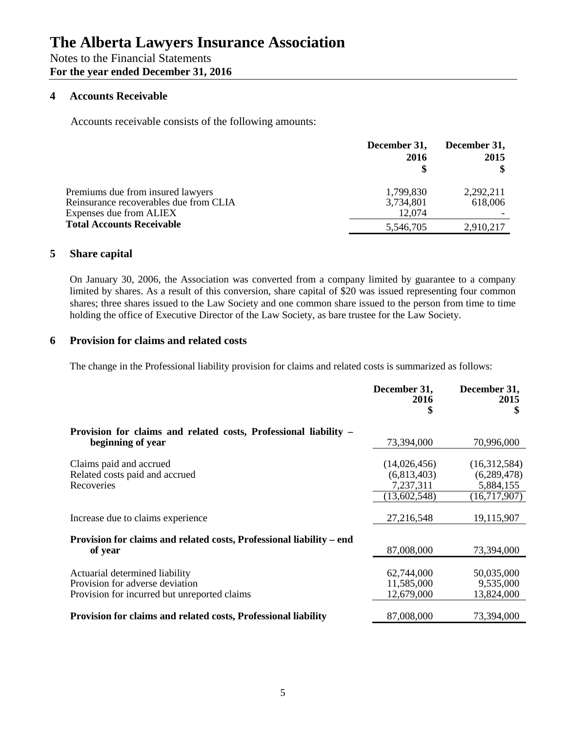Notes to the Financial Statements **For the year ended December 31, 2016**

## **4 Accounts Receivable**

Accounts receivable consists of the following amounts:

|                                                                   | December 31,<br>2016<br>S | December 31,<br>2015 |
|-------------------------------------------------------------------|---------------------------|----------------------|
| Premiums due from insured lawyers                                 | 1,799,830                 | 2,292,211            |
| Reinsurance recoverables due from CLIA<br>Expenses due from ALIEX | 3,734,801<br>12,074       | 618,006              |
| <b>Total Accounts Receivable</b>                                  | 5,546,705                 | 2,910,217            |

## **5 Share capital**

On January 30, 2006, the Association was converted from a company limited by guarantee to a company limited by shares. As a result of this conversion, share capital of \$20 was issued representing four common shares; three shares issued to the Law Society and one common share issued to the person from time to time holding the office of Executive Director of the Law Society, as bare trustee for the Law Society.

## **6 Provision for claims and related costs**

The change in the Professional liability provision for claims and related costs is summarized as follows:

|                                                                                                                   | December 31,<br>2016<br>\$                               | December 31,<br>2015<br>\$                               |
|-------------------------------------------------------------------------------------------------------------------|----------------------------------------------------------|----------------------------------------------------------|
| Provision for claims and related costs, Professional liability –<br>beginning of year                             | 73,394,000                                               | 70,996,000                                               |
| Claims paid and accrued<br>Related costs paid and accrued<br>Recoveries                                           | (14,026,456)<br>(6,813,403)<br>7,237,311<br>(13,602,548) | (16,312,584)<br>(6,289,478)<br>5,884,155<br>(16,717,907) |
| Increase due to claims experience                                                                                 | 27,216,548                                               | 19,115,907                                               |
| Provision for claims and related costs, Professional liability - end<br>of year                                   | 87,008,000                                               | 73,394,000                                               |
| Actuarial determined liability<br>Provision for adverse deviation<br>Provision for incurred but unreported claims | 62,744,000<br>11,585,000<br>12,679,000                   | 50,035,000<br>9,535,000<br>13,824,000                    |
| Provision for claims and related costs, Professional liability                                                    | 87,008,000                                               | 73,394,000                                               |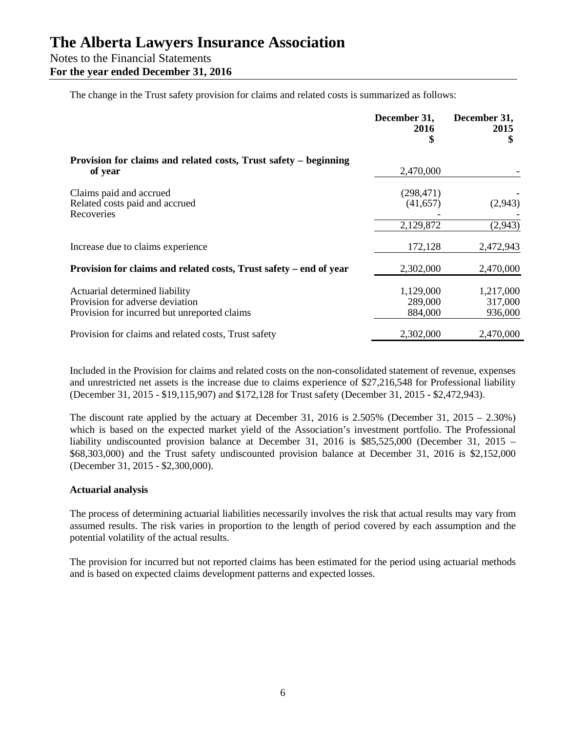## Notes to the Financial Statements **For the year ended December 31, 2016**

The change in the Trust safety provision for claims and related costs is summarized as follows:

|                                                                                                                   | December 31,<br>2016<br>\$      | December 31,<br>2015<br>\$      |
|-------------------------------------------------------------------------------------------------------------------|---------------------------------|---------------------------------|
| Provision for claims and related costs, Trust safety – beginning<br>of year                                       | 2,470,000                       |                                 |
| Claims paid and accrued<br>Related costs paid and accrued<br>Recoveries                                           | (298, 471)<br>(41, 657)         | (2,943)                         |
|                                                                                                                   | 2,129,872                       | (2,943)                         |
| Increase due to claims experience                                                                                 | 172,128                         | 2,472,943                       |
| Provision for claims and related costs, Trust safety – end of year                                                | 2,302,000                       | 2,470,000                       |
| Actuarial determined liability<br>Provision for adverse deviation<br>Provision for incurred but unreported claims | 1,129,000<br>289,000<br>884,000 | 1,217,000<br>317,000<br>936,000 |
| Provision for claims and related costs, Trust safety                                                              | 2,302,000                       | 2,470,000                       |

Included in the Provision for claims and related costs on the non-consolidated statement of revenue, expenses and unrestricted net assets is the increase due to claims experience of \$27,216,548 for Professional liability (December 31, 2015 - \$19,115,907) and \$172,128 for Trust safety (December 31, 2015 - \$2,472,943).

The discount rate applied by the actuary at December 31, 2016 is  $2.505\%$  (December 31, 2015 – 2.30%) which is based on the expected market yield of the Association's investment portfolio. The Professional liability undiscounted provision balance at December 31, 2016 is \$85,525,000 (December 31, 2015 – \$68,303,000) and the Trust safety undiscounted provision balance at December 31, 2016 is \$2,152,000 (December 31, 2015 - \$2,300,000).

#### **Actuarial analysis**

The process of determining actuarial liabilities necessarily involves the risk that actual results may vary from assumed results. The risk varies in proportion to the length of period covered by each assumption and the potential volatility of the actual results.

The provision for incurred but not reported claims has been estimated for the period using actuarial methods and is based on expected claims development patterns and expected losses.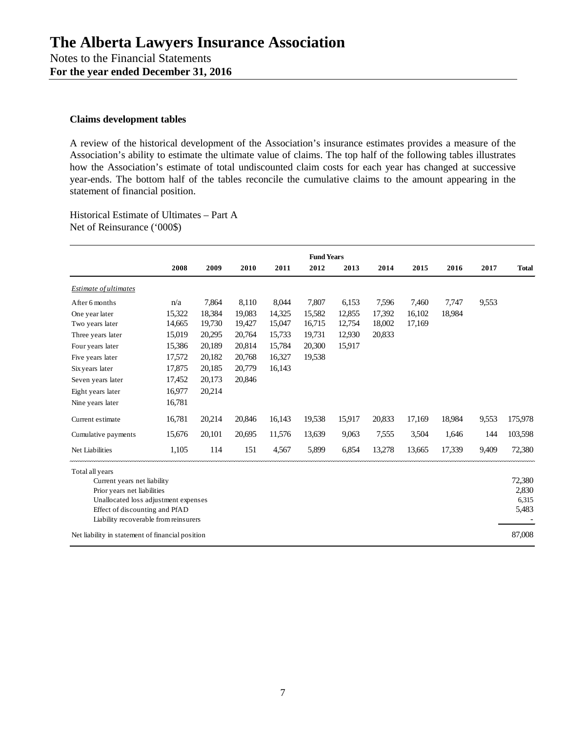#### **Claims development tables**

A review of the historical development of the Association's insurance estimates provides a measure of the Association's ability to estimate the ultimate value of claims. The top half of the following tables illustrates how the Association's estimate of total undiscounted claim costs for each year has changed at successive year-ends. The bottom half of the tables reconcile the cumulative claims to the amount appearing in the statement of financial position.

Historical Estimate of Ultimates – Part A Net of Reinsurance ('000\$)

|                                                                                                                                                                                                  | <b>Fund Years</b> |        |        |        |        |        |        |        |        |       |                                   |
|--------------------------------------------------------------------------------------------------------------------------------------------------------------------------------------------------|-------------------|--------|--------|--------|--------|--------|--------|--------|--------|-------|-----------------------------------|
|                                                                                                                                                                                                  | 2008              | 2009   | 2010   | 2011   | 2012   | 2013   | 2014   | 2015   | 2016   | 2017  | <b>Total</b>                      |
| Estimate of ultimates                                                                                                                                                                            |                   |        |        |        |        |        |        |        |        |       |                                   |
| After 6 months                                                                                                                                                                                   | n/a               | 7,864  | 8,110  | 8,044  | 7,807  | 6,153  | 7,596  | 7,460  | 7,747  | 9,553 |                                   |
| One year later                                                                                                                                                                                   | 15,322            | 18,384 | 19,083 | 14,325 | 15,582 | 12,855 | 17,392 | 16,102 | 18,984 |       |                                   |
| Two years later                                                                                                                                                                                  | 14,665            | 19,730 | 19,427 | 15,047 | 16,715 | 12,754 | 18,002 | 17,169 |        |       |                                   |
| Three years later                                                                                                                                                                                | 15,019            | 20,295 | 20,764 | 15,733 | 19,731 | 12,930 | 20,833 |        |        |       |                                   |
| Four years later                                                                                                                                                                                 | 15,386            | 20,189 | 20,814 | 15,784 | 20,300 | 15.917 |        |        |        |       |                                   |
| Five years later                                                                                                                                                                                 | 17,572            | 20,182 | 20,768 | 16,327 | 19,538 |        |        |        |        |       |                                   |
| Six years later                                                                                                                                                                                  | 17,875            | 20,185 | 20,779 | 16,143 |        |        |        |        |        |       |                                   |
| Seven years later                                                                                                                                                                                | 17,452            | 20,173 | 20,846 |        |        |        |        |        |        |       |                                   |
| Eight years later                                                                                                                                                                                | 16,977            | 20,214 |        |        |        |        |        |        |        |       |                                   |
| Nine years later                                                                                                                                                                                 | 16,781            |        |        |        |        |        |        |        |        |       |                                   |
| Current estimate                                                                                                                                                                                 | 16,781            | 20,214 | 20,846 | 16,143 | 19,538 | 15,917 | 20,833 | 17,169 | 18,984 | 9,553 | 175,978                           |
| Cumulative payments                                                                                                                                                                              | 15,676            | 20,101 | 20,695 | 11,576 | 13,639 | 9,063  | 7,555  | 3,504  | 1,646  | 144   | 103,598                           |
| Net Liabilities                                                                                                                                                                                  | 1,105             | 114    | 151    | 4,567  | 5,899  | 6,854  | 13,278 | 13,665 | 17,339 | 9,409 | 72,380                            |
| Total all years<br>Current years net liability<br>Prior years net liabilities<br>Unallocated loss adjustment expenses<br>Effect of discounting and PfAD<br>Liability recoverable from reinsurers |                   |        |        |        |        |        |        |        |        |       | 72,380<br>2,830<br>6.315<br>5,483 |
| Net liability in statement of financial position                                                                                                                                                 |                   |        |        |        |        |        |        |        |        |       | 87,008                            |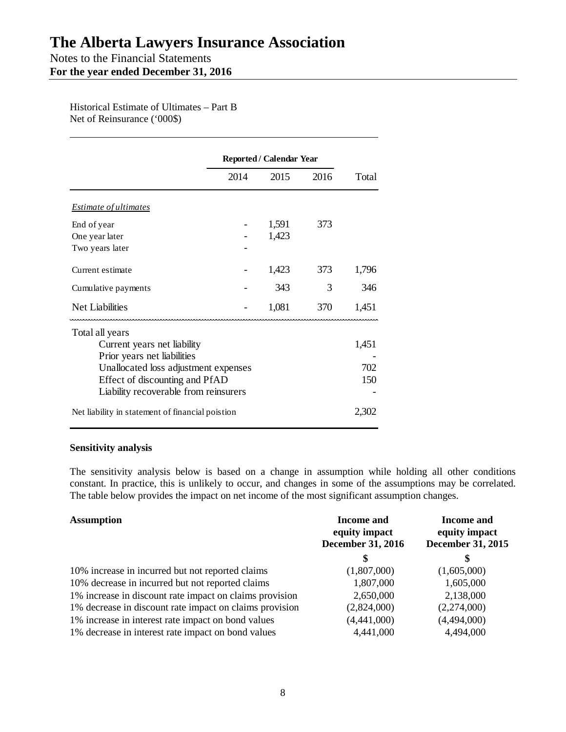## Notes to the Financial Statements **For the year ended December 31, 2016**

Historical Estimate of Ultimates – Part B Net of Reinsurance ('000\$)

|                                                                                                                                                                                                  | <b>Reported / Calendar Year</b> |                |      |                     |
|--------------------------------------------------------------------------------------------------------------------------------------------------------------------------------------------------|---------------------------------|----------------|------|---------------------|
|                                                                                                                                                                                                  | 2014                            | 2015           | 2016 | Total               |
| <b>Estimate of ultimates</b>                                                                                                                                                                     |                                 |                |      |                     |
| End of year<br>One year later<br>Two years later                                                                                                                                                 |                                 | 1,591<br>1,423 | 373  |                     |
| Current estimate                                                                                                                                                                                 |                                 | 1,423          | 373  | 1,796               |
| Cumulative payments                                                                                                                                                                              |                                 | 343            | 3    | 346                 |
| <b>Net Liabilities</b>                                                                                                                                                                           |                                 | 1,081          | 370  | 1,451               |
| Total all years<br>Current years net liability<br>Prior years net liabilities<br>Unallocated loss adjustment expenses<br>Effect of discounting and PfAD<br>Liability recoverable from reinsurers |                                 |                |      | 1,451<br>702<br>150 |
| Net liability in statement of financial poistion                                                                                                                                                 |                                 |                |      | 2,302               |

## **Sensitivity analysis**

The sensitivity analysis below is based on a change in assumption while holding all other conditions constant. In practice, this is unlikely to occur, and changes in some of the assumptions may be correlated. The table below provides the impact on net income of the most significant assumption changes.

| <b>Assumption</b>                                       | <b>Income and</b><br>equity impact<br><b>December 31, 2016</b> | <b>Income and</b><br>equity impact<br>December 31, 2015 |
|---------------------------------------------------------|----------------------------------------------------------------|---------------------------------------------------------|
|                                                         | S                                                              | S                                                       |
| 10% increase in incurred but not reported claims        | (1,807,000)                                                    | (1,605,000)                                             |
| 10% decrease in incurred but not reported claims        | 1,807,000                                                      | 1,605,000                                               |
| 1% increase in discount rate impact on claims provision | 2,650,000                                                      | 2,138,000                                               |
| 1% decrease in discount rate impact on claims provision | (2,824,000)                                                    | (2,274,000)                                             |
| 1% increase in interest rate impact on bond values      | (4,441,000)                                                    | (4,494,000)                                             |
| 1% decrease in interest rate impact on bond values      | 4,441,000                                                      | 4,494,000                                               |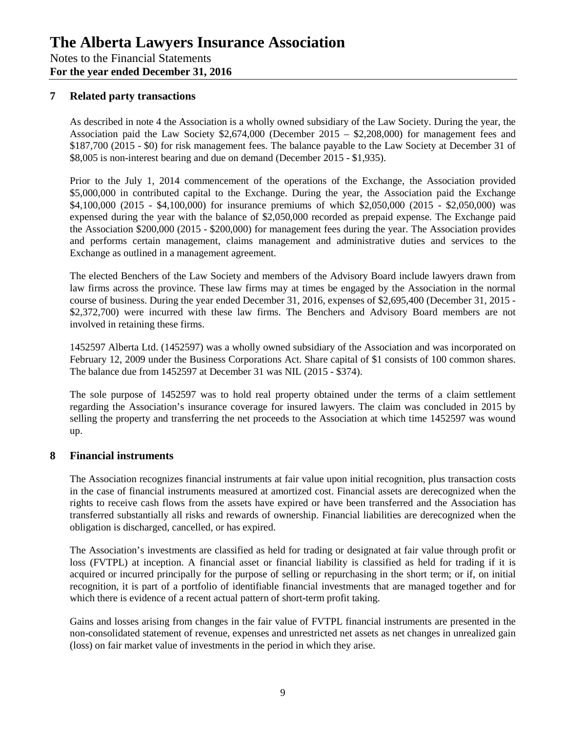## **7 Related party transactions**

As described in note 4 the Association is a wholly owned subsidiary of the Law Society. During the year, the Association paid the Law Society \$2,674,000 (December 2015 – \$2,208,000) for management fees and \$187,700 (2015 - \$0) for risk management fees. The balance payable to the Law Society at December 31 of \$8,005 is non-interest bearing and due on demand (December 2015 - \$1,935).

Prior to the July 1, 2014 commencement of the operations of the Exchange, the Association provided \$5,000,000 in contributed capital to the Exchange. During the year, the Association paid the Exchange \$4,100,000 (2015 - \$4,100,000) for insurance premiums of which \$2,050,000 (2015 - \$2,050,000) was expensed during the year with the balance of \$2,050,000 recorded as prepaid expense. The Exchange paid the Association \$200,000 (2015 - \$200,000) for management fees during the year. The Association provides and performs certain management, claims management and administrative duties and services to the Exchange as outlined in a management agreement.

The elected Benchers of the Law Society and members of the Advisory Board include lawyers drawn from law firms across the province. These law firms may at times be engaged by the Association in the normal course of business. During the year ended December 31, 2016, expenses of \$2,695,400 (December 31, 2015 - \$2,372,700) were incurred with these law firms. The Benchers and Advisory Board members are not involved in retaining these firms.

1452597 Alberta Ltd. (1452597) was a wholly owned subsidiary of the Association and was incorporated on February 12, 2009 under the Business Corporations Act. Share capital of \$1 consists of 100 common shares. The balance due from 1452597 at December 31 was NIL (2015 - \$374).

The sole purpose of 1452597 was to hold real property obtained under the terms of a claim settlement regarding the Association's insurance coverage for insured lawyers. The claim was concluded in 2015 by selling the property and transferring the net proceeds to the Association at which time 1452597 was wound up.

#### **8 Financial instruments**

The Association recognizes financial instruments at fair value upon initial recognition, plus transaction costs in the case of financial instruments measured at amortized cost. Financial assets are derecognized when the rights to receive cash flows from the assets have expired or have been transferred and the Association has transferred substantially all risks and rewards of ownership. Financial liabilities are derecognized when the obligation is discharged, cancelled, or has expired.

The Association's investments are classified as held for trading or designated at fair value through profit or loss (FVTPL) at inception. A financial asset or financial liability is classified as held for trading if it is acquired or incurred principally for the purpose of selling or repurchasing in the short term; or if, on initial recognition, it is part of a portfolio of identifiable financial investments that are managed together and for which there is evidence of a recent actual pattern of short-term profit taking.

Gains and losses arising from changes in the fair value of FVTPL financial instruments are presented in the non-consolidated statement of revenue, expenses and unrestricted net assets as net changes in unrealized gain (loss) on fair market value of investments in the period in which they arise.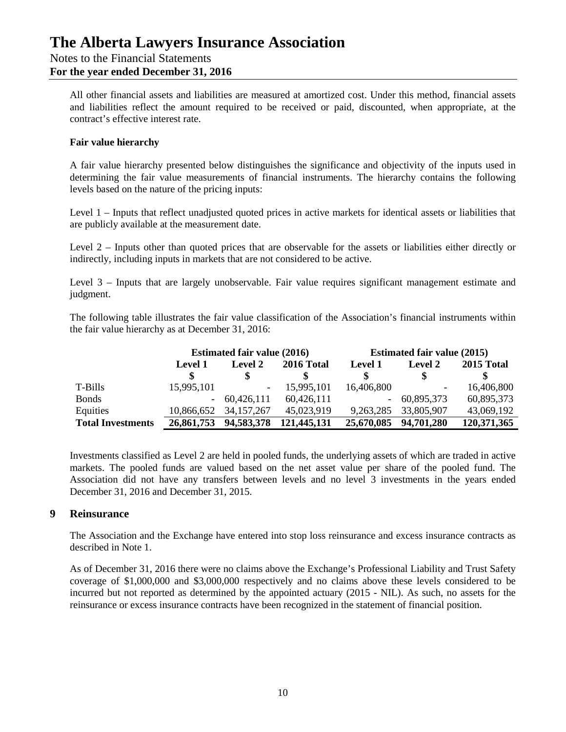All other financial assets and liabilities are measured at amortized cost. Under this method, financial assets and liabilities reflect the amount required to be received or paid, discounted, when appropriate, at the contract's effective interest rate.

## **Fair value hierarchy**

A fair value hierarchy presented below distinguishes the significance and objectivity of the inputs used in determining the fair value measurements of financial instruments. The hierarchy contains the following levels based on the nature of the pricing inputs:

Level 1 – Inputs that reflect unadjusted quoted prices in active markets for identical assets or liabilities that are publicly available at the measurement date.

Level 2 – Inputs other than quoted prices that are observable for the assets or liabilities either directly or indirectly, including inputs in markets that are not considered to be active.

Level 3 – Inputs that are largely unobservable. Fair value requires significant management estimate and judgment.

The following table illustrates the fair value classification of the Association's financial instruments within the fair value hierarchy as at December 31, 2016:

|                          | <b>Estimated fair value (2016)</b> |                          |             | <b>Estimated fair value (2015)</b> |                          |             |
|--------------------------|------------------------------------|--------------------------|-------------|------------------------------------|--------------------------|-------------|
|                          | Level 1                            | <b>Level 2</b>           | 2016 Total  | <b>Level 1</b>                     | <b>Level 2</b>           | 2015 Total  |
|                          |                                    |                          |             |                                    |                          |             |
| T-Bills                  | 15,995,101                         | $\overline{\phantom{a}}$ | 15,995,101  | 16,406,800                         | $\overline{\phantom{a}}$ | 16,406,800  |
| <b>Bonds</b>             | $\overline{\phantom{a}}$           | 60,426,111               | 60,426,111  | $\overline{\phantom{0}}$           | 60,895,373               | 60,895,373  |
| Equities                 | 10,866,652                         | 34, 157, 267             | 45,023,919  | 9,263,285                          | 33,805,907               | 43,069,192  |
| <b>Total Investments</b> | 26,861,753                         | 94,583,378               | 121,445,131 | 25,670,085                         | 94,701,280               | 120,371,365 |

Investments classified as Level 2 are held in pooled funds, the underlying assets of which are traded in active markets. The pooled funds are valued based on the net asset value per share of the pooled fund. The Association did not have any transfers between levels and no level 3 investments in the years ended December 31, 2016 and December 31, 2015.

#### **9 Reinsurance**

The Association and the Exchange have entered into stop loss reinsurance and excess insurance contracts as described in Note 1.

As of December 31, 2016 there were no claims above the Exchange's Professional Liability and Trust Safety coverage of \$1,000,000 and \$3,000,000 respectively and no claims above these levels considered to be incurred but not reported as determined by the appointed actuary (2015 - NIL). As such, no assets for the reinsurance or excess insurance contracts have been recognized in the statement of financial position.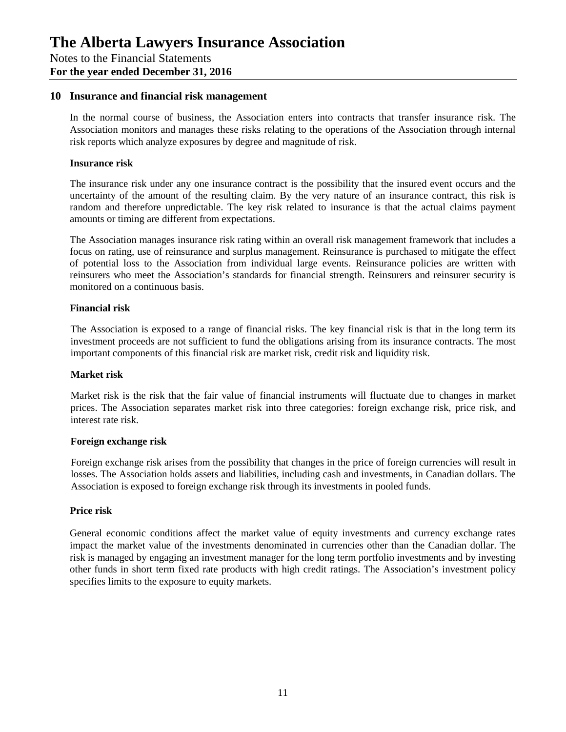## **10 Insurance and financial risk management**

In the normal course of business, the Association enters into contracts that transfer insurance risk. The Association monitors and manages these risks relating to the operations of the Association through internal risk reports which analyze exposures by degree and magnitude of risk.

#### **Insurance risk**

The insurance risk under any one insurance contract is the possibility that the insured event occurs and the uncertainty of the amount of the resulting claim. By the very nature of an insurance contract, this risk is random and therefore unpredictable. The key risk related to insurance is that the actual claims payment amounts or timing are different from expectations.

The Association manages insurance risk rating within an overall risk management framework that includes a focus on rating, use of reinsurance and surplus management. Reinsurance is purchased to mitigate the effect of potential loss to the Association from individual large events. Reinsurance policies are written with reinsurers who meet the Association's standards for financial strength. Reinsurers and reinsurer security is monitored on a continuous basis.

#### **Financial risk**

The Association is exposed to a range of financial risks. The key financial risk is that in the long term its investment proceeds are not sufficient to fund the obligations arising from its insurance contracts. The most important components of this financial risk are market risk, credit risk and liquidity risk.

#### **Market risk**

Market risk is the risk that the fair value of financial instruments will fluctuate due to changes in market prices. The Association separates market risk into three categories: foreign exchange risk, price risk, and interest rate risk.

#### **Foreign exchange risk**

Foreign exchange risk arises from the possibility that changes in the price of foreign currencies will result in losses. The Association holds assets and liabilities, including cash and investments, in Canadian dollars. The Association is exposed to foreign exchange risk through its investments in pooled funds.

#### **Price risk**

General economic conditions affect the market value of equity investments and currency exchange rates impact the market value of the investments denominated in currencies other than the Canadian dollar. The risk is managed by engaging an investment manager for the long term portfolio investments and by investing other funds in short term fixed rate products with high credit ratings. The Association's investment policy specifies limits to the exposure to equity markets.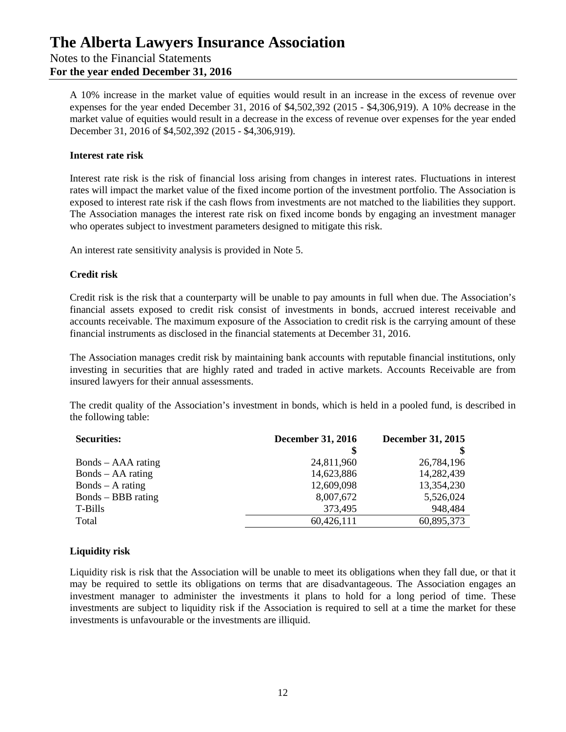Notes to the Financial Statements

**For the year ended December 31, 2016**

A 10% increase in the market value of equities would result in an increase in the excess of revenue over expenses for the year ended December 31, 2016 of \$4,502,392 (2015 - \$4,306,919). A 10% decrease in the market value of equities would result in a decrease in the excess of revenue over expenses for the year ended December 31, 2016 of \$4,502,392 (2015 - \$4,306,919).

#### **Interest rate risk**

Interest rate risk is the risk of financial loss arising from changes in interest rates. Fluctuations in interest rates will impact the market value of the fixed income portion of the investment portfolio. The Association is exposed to interest rate risk if the cash flows from investments are not matched to the liabilities they support. The Association manages the interest rate risk on fixed income bonds by engaging an investment manager who operates subject to investment parameters designed to mitigate this risk.

An interest rate sensitivity analysis is provided in Note 5.

#### **Credit risk**

Credit risk is the risk that a counterparty will be unable to pay amounts in full when due. The Association's financial assets exposed to credit risk consist of investments in bonds, accrued interest receivable and accounts receivable. The maximum exposure of the Association to credit risk is the carrying amount of these financial instruments as disclosed in the financial statements at December 31, 2016.

The Association manages credit risk by maintaining bank accounts with reputable financial institutions, only investing in securities that are highly rated and traded in active markets. Accounts Receivable are from insured lawyers for their annual assessments.

The credit quality of the Association's investment in bonds, which is held in a pooled fund, is described in the following table:

| <b>Securities:</b>   | <b>December 31, 2016</b> | <b>December 31, 2015</b> |
|----------------------|--------------------------|--------------------------|
|                      |                          |                          |
| Bonds – AAA rating   | 24,811,960               | 26,784,196               |
| $Bonds - AA rating$  | 14,623,886               | 14,282,439               |
| $Bonds - A rating$   | 12,609,098               | 13,354,230               |
| $Bonds - BBB rating$ | 8,007,672                | 5,526,024                |
| T-Bills              | 373,495                  | 948,484                  |
| Total                | 60,426,111               | 60,895,373               |

#### **Liquidity risk**

Liquidity risk is risk that the Association will be unable to meet its obligations when they fall due, or that it may be required to settle its obligations on terms that are disadvantageous. The Association engages an investment manager to administer the investments it plans to hold for a long period of time. These investments are subject to liquidity risk if the Association is required to sell at a time the market for these investments is unfavourable or the investments are illiquid.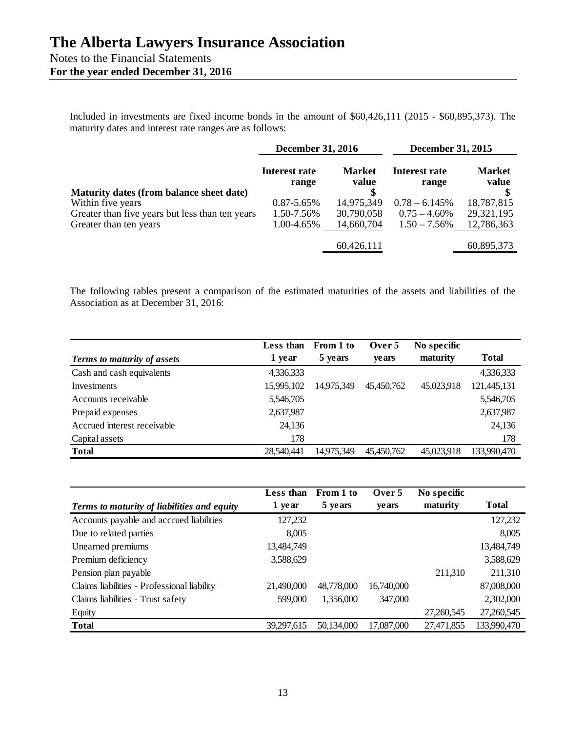Included in investments are fixed income bonds in the amount of \$60,426,111 (2015 - \$60,895,373). The maturity dates and interest rate ranges are as follows:

|                                                 | <b>December 31, 2016</b> |                        | <b>December 31, 2015</b> |                        |
|-------------------------------------------------|--------------------------|------------------------|--------------------------|------------------------|
|                                                 | Interest rate<br>range   | <b>Market</b><br>value | Interest rate<br>range   | <b>Market</b><br>value |
| Maturity dates (from balance sheet date)        |                          |                        |                          |                        |
| Within five years                               | $0.87 - 5.65\%$          | 14,975,349             | $0.78 - 6.145\%$         | 18,787,815             |
| Greater than five years but less than ten years | 1.50-7.56%               | 30,790,058             | $0.75 - 4.60\%$          | 29,321,195             |
| Greater than ten years                          | 1.00-4.65%               | 14,660,704             | $1.50 - 7.56\%$          | 12,786,363             |
|                                                 |                          |                        |                          |                        |
|                                                 |                          | 60,426,111             |                          | 60,895,373             |
|                                                 |                          |                        |                          |                        |

The following tables present a comparison of the estimated maturities of the assets and liabilities of the Association as at December 31, 2016:

|                             | Less than  | From 1 to  | Over 5     | No specific |              |
|-----------------------------|------------|------------|------------|-------------|--------------|
| Terms to maturity of assets | 1 year     | 5 years    | years      | maturity    | <b>Total</b> |
| Cash and cash equivalents   | 4,336,333  |            |            |             | 4,336,333    |
| Investments                 | 15,995,102 | 14.975.349 | 45,450,762 | 45,023,918  | 121,445,131  |
| Accounts receivable         | 5,546,705  |            |            |             | 5,546,705    |
| Prepaid expenses            | 2,637,987  |            |            |             | 2,637,987    |
| Accrued interest receivable | 24,136     |            |            |             | 24,136       |
| Capital assets              | 178        |            |            |             | 178          |
| <b>Total</b>                | 28,540,441 | 14,975,349 | 45,450,762 | 45,023,918  | 133,990,470  |

|                                             | Less than  | From 1 to  | Over 5     | No specific |              |
|---------------------------------------------|------------|------------|------------|-------------|--------------|
| Terms to maturity of liabilities and equity | 1 year     | 5 years    | ye ars     | maturity    | <b>Total</b> |
| Accounts payable and accrued liabilities    | 127,232    |            |            |             | 127,232      |
| Due to related parties                      | 8,005      |            |            |             | 8,005        |
| Unearned premiums                           | 13,484,749 |            |            |             | 13,484,749   |
| Premium deficiency                          | 3,588,629  |            |            |             | 3,588,629    |
| Pension plan payable                        |            |            |            | 211,310     | 211,310      |
| Claims liabilities - Professional liability | 21,490,000 | 48,778,000 | 16,740,000 |             | 87,008,000   |
| Claims liabilities - Trust safety           | 599,000    | 1,356,000  | 347,000    |             | 2,302,000    |
| Equity                                      |            |            |            | 27,260,545  | 27,260,545   |
| <b>Total</b>                                | 39,297,615 | 50,134,000 | 17,087,000 | 27,471,855  | 133,990,470  |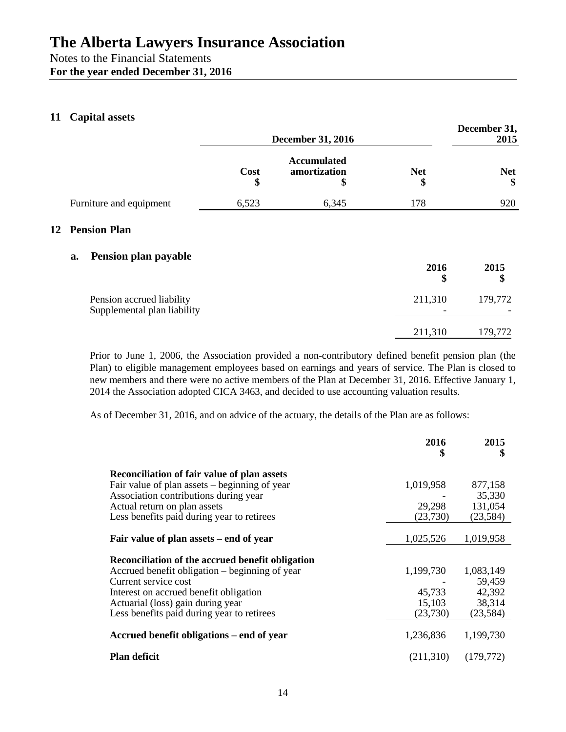Notes to the Financial Statements **For the year ended December 31, 2016**

## **11 Capital assets**

|                         |       | <b>December 31, 2016</b>           |                  | December 31,<br>2015 |
|-------------------------|-------|------------------------------------|------------------|----------------------|
|                         | Cost  | <b>Accumulated</b><br>amortization | <b>Net</b><br>\$ | <b>Net</b><br>\$     |
| Furniture and equipment | 6,523 | 6,345                              | 178              | 920                  |

## **12 Pension Plan**

## **a. Pension plan payable**

|                                                          | 2016                                | 2015    |
|----------------------------------------------------------|-------------------------------------|---------|
| Pension accrued liability<br>Supplemental plan liability | 211,310<br>$\overline{\phantom{0}}$ | 179,772 |
|                                                          | 211,310                             | 179,772 |

Prior to June 1, 2006, the Association provided a non-contributory defined benefit pension plan (the Plan) to eligible management employees based on earnings and years of service. The Plan is closed to new members and there were no active members of the Plan at December 31, 2016. Effective January 1, 2014 the Association adopted CICA 3463, and decided to use accounting valuation results.

As of December 31, 2016, and on advice of the actuary, the details of the Plan are as follows:

|                                                    | 2016<br>\$ | 2015<br>\$ |
|----------------------------------------------------|------------|------------|
| <b>Reconciliation of fair value of plan assets</b> |            |            |
| Fair value of plan assets – beginning of year      | 1,019,958  | 877,158    |
| Association contributions during year              |            | 35,330     |
| Actual return on plan assets                       | 29,298     | 131,054    |
| Less benefits paid during year to retirees         | (23,730)   | (23, 584)  |
|                                                    |            |            |
| Fair value of plan assets – end of year            | 1,025,526  | 1,019,958  |
| Reconciliation of the accrued benefit obligation   |            |            |
| Accrued benefit obligation – beginning of year     | 1,199,730  | 1,083,149  |
| Current service cost                               |            | 59,459     |
| Interest on accrued benefit obligation             | 45,733     | 42,392     |
| Actuarial (loss) gain during year                  | 15,103     | 38,314     |
| Less benefits paid during year to retirees         | (23, 730)  | (23, 584)  |
| Accrued benefit obligations – end of year          | 1,236,836  | 1,199,730  |
| <b>Plan deficit</b>                                | (211,310)  | (179.772)  |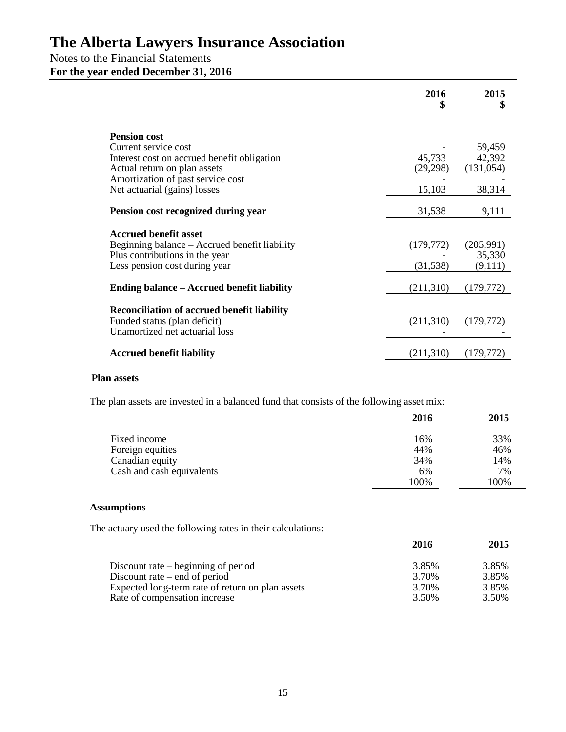## Notes to the Financial Statements

**For the year ended December 31, 2016**

|                                                                                                                      | 2016<br>\$ | 2015<br>\$             |
|----------------------------------------------------------------------------------------------------------------------|------------|------------------------|
| <b>Pension cost</b>                                                                                                  |            |                        |
| Current service cost                                                                                                 |            | 59,459                 |
| Interest cost on accrued benefit obligation                                                                          | 45,733     | 42,392                 |
| Actual return on plan assets                                                                                         |            | $(29,298)$ $(131,054)$ |
| Amortization of past service cost                                                                                    |            |                        |
| Net actuarial (gains) losses                                                                                         | 15,103     | 38,314                 |
| Pension cost recognized during year                                                                                  | 31,538     | 9,111                  |
| <b>Accrued benefit asset</b>                                                                                         |            |                        |
| Beginning balance – Accrued benefit liability                                                                        | (179, 772) | (205,991)              |
| Plus contributions in the year                                                                                       |            | 35,330                 |
| Less pension cost during year                                                                                        | (31, 538)  | (9,111)                |
| Ending balance – Accrued benefit liability                                                                           | (211,310)  | (179, 772)             |
|                                                                                                                      |            |                        |
| <b>Reconciliation of accrued benefit liability</b><br>Funded status (plan deficit)<br>Unamortized net actuarial loss | (211,310)  | (179, 772)             |
| <b>Accrued benefit liability</b>                                                                                     | (211,310)  | (179, 772)             |

#### **Plan assets**

The plan assets are invested in a balanced fund that consists of the following asset mix:

|                           | 2016 | 2015 |
|---------------------------|------|------|
| Fixed income              | 16%  | 33%  |
| Foreign equities          | 44%  | 46%  |
| Canadian equity           | 34%  | 14%  |
| Cash and cash equivalents | 6%   | 7%   |
|                           | 100% | 100% |

## **Assumptions**

The actuary used the following rates in their calculations:

|                                                  | 2016  | 2015  |
|--------------------------------------------------|-------|-------|
| Discount rate $-$ beginning of period            | 3.85% | 3.85% |
| Discount rate $-$ end of period                  | 3.70% | 3.85% |
| Expected long-term rate of return on plan assets | 3.70% | 3.85% |
| Rate of compensation increase                    | 3.50% | 3.50% |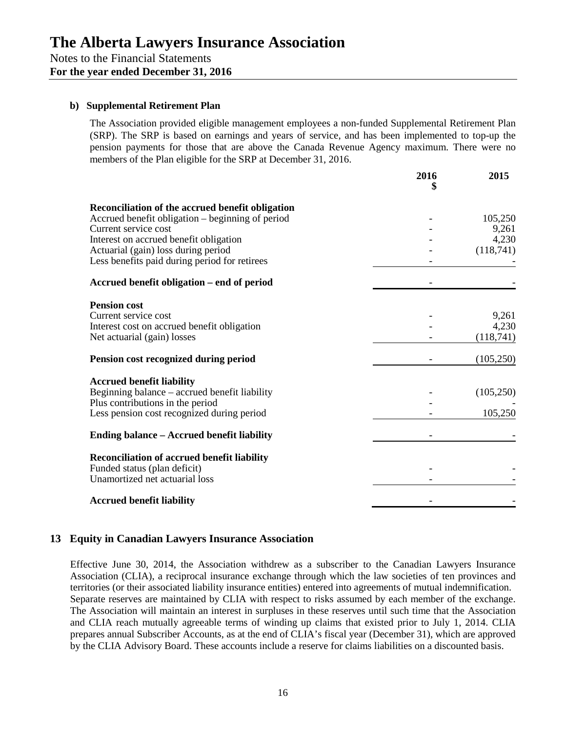#### **b) Supplemental Retirement Plan**

The Association provided eligible management employees a non-funded Supplemental Retirement Plan (SRP). The SRP is based on earnings and years of service, and has been implemented to top-up the pension payments for those that are above the Canada Revenue Agency maximum. There were no members of the Plan eligible for the SRP at December 31, 2016.

|                                                                                                      | 2016 | 2015       |
|------------------------------------------------------------------------------------------------------|------|------------|
|                                                                                                      |      |            |
| Reconciliation of the accrued benefit obligation<br>Accrued benefit obligation – beginning of period |      | 105,250    |
| Current service cost                                                                                 |      | 9,261      |
| Interest on accrued benefit obligation                                                               |      | 4,230      |
| Actuarial (gain) loss during period<br>Less benefits paid during period for retirees                 |      | (118,741)  |
| Accrued benefit obligation – end of period                                                           |      |            |
|                                                                                                      |      |            |
| <b>Pension cost</b><br>Current service cost                                                          |      | 9,261      |
| Interest cost on accrued benefit obligation                                                          |      | 4,230      |
| Net actuarial (gain) losses                                                                          |      | (118,741)  |
| Pension cost recognized during period                                                                |      | (105, 250) |
| <b>Accrued benefit liability</b>                                                                     |      |            |
| Beginning balance – accrued benefit liability                                                        |      | (105, 250) |
| Plus contributions in the period                                                                     |      |            |
| Less pension cost recognized during period                                                           |      | 105,250    |
| <b>Ending balance – Accrued benefit liability</b>                                                    |      |            |
| Reconciliation of accrued benefit liability                                                          |      |            |
| Funded status (plan deficit)                                                                         |      |            |
| Unamortized net actuarial loss                                                                       |      |            |
| <b>Accrued benefit liability</b>                                                                     |      |            |
|                                                                                                      |      |            |

## **13 Equity in Canadian Lawyers Insurance Association**

Effective June 30, 2014, the Association withdrew as a subscriber to the Canadian Lawyers Insurance Association (CLIA), a reciprocal insurance exchange through which the law societies of ten provinces and territories (or their associated liability insurance entities) entered into agreements of mutual indemnification. Separate reserves are maintained by CLIA with respect to risks assumed by each member of the exchange. The Association will maintain an interest in surpluses in these reserves until such time that the Association and CLIA reach mutually agreeable terms of winding up claims that existed prior to July 1, 2014. CLIA prepares annual Subscriber Accounts, as at the end of CLIA's fiscal year (December 31), which are approved by the CLIA Advisory Board. These accounts include a reserve for claims liabilities on a discounted basis.